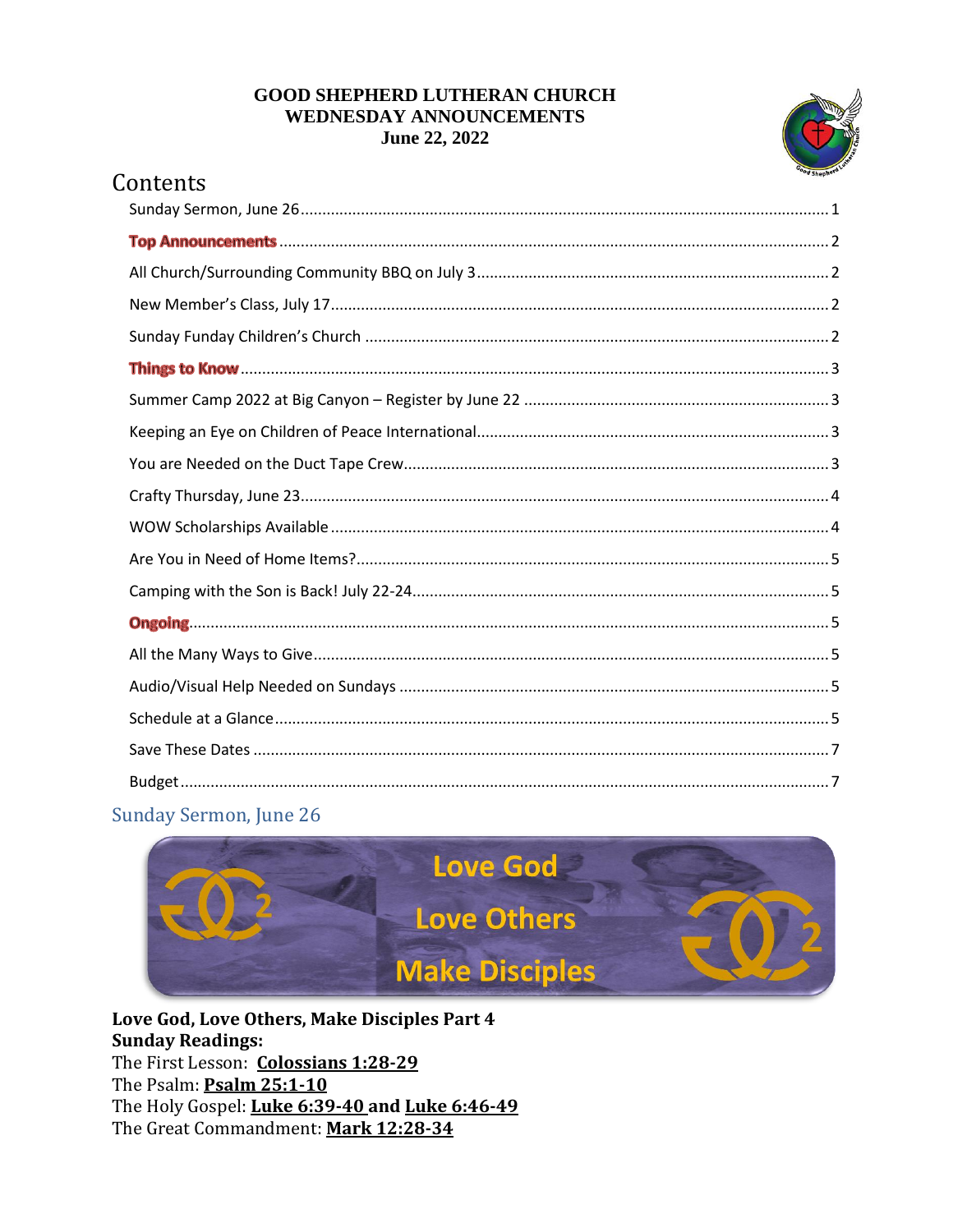#### **GOOD SHEPHERD LUTHERAN CHURCH WEDNESDAY ANNOUNCEMENTS** June 22, 2022



# Contents

# <span id="page-0-0"></span>Sunday Sermon, June 26



Love God, Love Others, Make Disciples Part 4 **Sunday Readings:** The First Lesson: Colossians 1:28-29 The Psalm: Psalm 25:1-10 The Holy Gospel: Luke 6:39-40 and Luke 6:46-49 The Great Commandment: Mark 12:28-34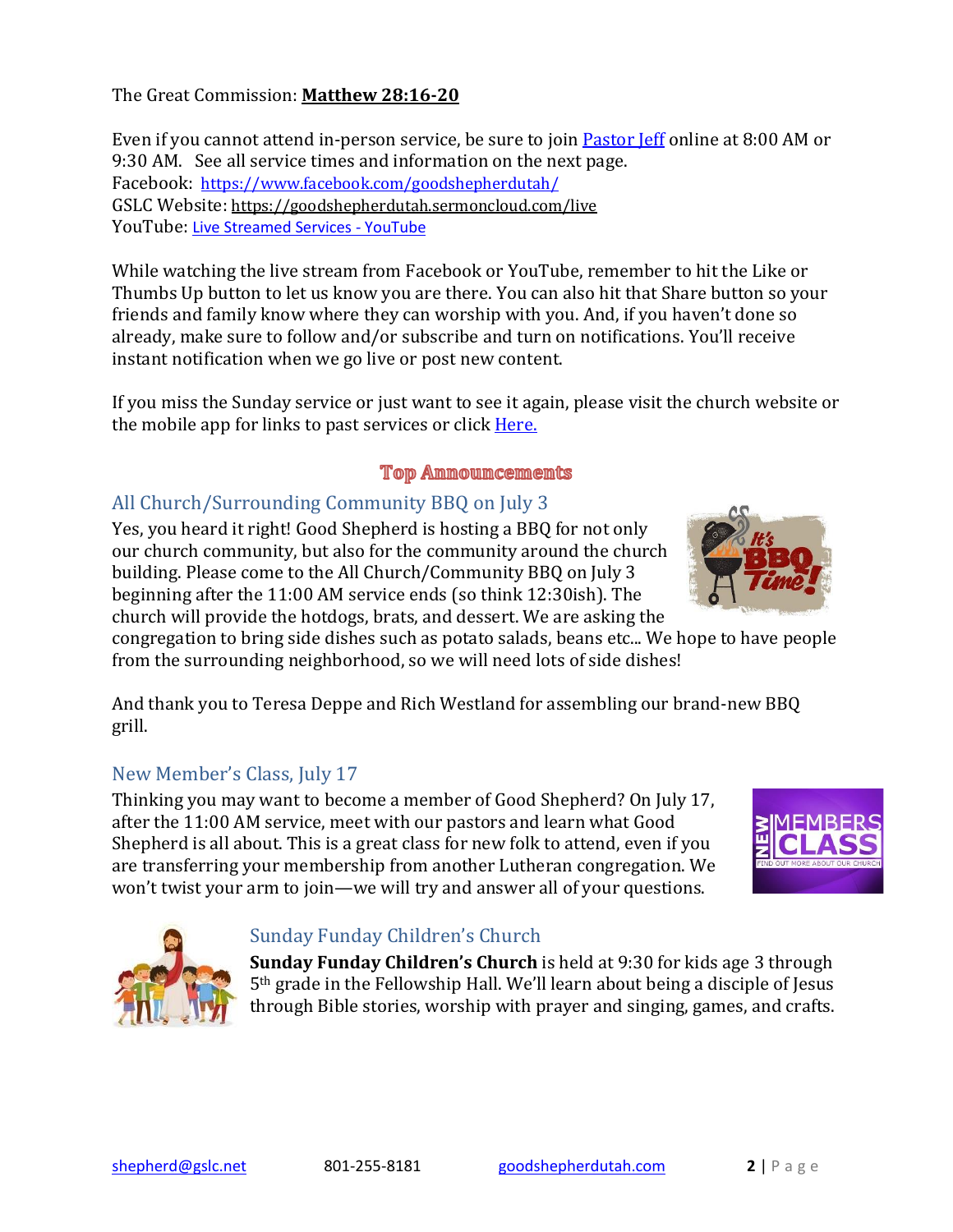The Great Commission: **[Matthew 28:16-20](https://www.bible.com/bible/111/mat.28.16-20)**

Even if you cannot attend in-person service, be sure to join **[Pastor Jeff](https://www.goodshepherdutah.com/about-us) online at 8:00 AM** or 9:30 AM. See all service times and information on the next page. Facebook: <https://www.facebook.com/goodshepherdutah/> GSLC Website: <https://goodshepherdutah.sermoncloud.com/live> YouTube: [Live Streamed Services -](https://www.youtube.com/playlist?list=PL3uHy86kZK2lvEyxDRxlMAf-270bivhOr) YouTube

While watching the live stream from Facebook or YouTube, remember to hit the Like or Thumbs Up button to let us know you are there. You can also hit that Share button so your friends and family know where they can worship with you. And, if you haven't done so already, make sure to follow and/or subscribe and turn on notifications. You'll receive instant notification when we go live or post new content.

If you miss the Sunday service or just want to see it again, please visit the church website or the mobile app for links to past services or click [Here.](https://www.goodshepherdutah.com/pastlivestreams)

#### **Top Announcements**

# <span id="page-1-1"></span><span id="page-1-0"></span>All Church/Surrounding Community BBQ on July 3

Yes, you heard it right! Good Shepherd is hosting a BBQ for not only our church community, but also for the community around the church building. Please come to the All Church/Community BBQ on July 3 beginning after the 11:00 AM service ends (so think 12:30ish). The church will provide the hotdogs, brats, and dessert. We are asking the

congregation to bring side dishes such as potato salads, beans etc... We hope to have people from the surrounding neighborhood, so we will need lots of side dishes!

And thank you to Teresa Deppe and Rich Westland for assembling our brand-new BBQ grill.

# <span id="page-1-2"></span>New Member's Class, July 17

Thinking you may want to become a member of Good Shepherd? On July 17, after the 11:00 AM service, meet with our pastors and learn what Good Shepherd is all about. This is a great class for new folk to attend, even if you are transferring your membership from another Lutheran congregation. We won't twist your arm to join—we will try and answer all of your questions.

<span id="page-1-3"></span>

**Sunday Funday Children's Church** is held at 9:30 for kids age 3 through 5th grade in the Fellowship Hall. We'll learn about being a disciple of Jesus through Bible stories, worship with prayer and singing, games, and crafts.





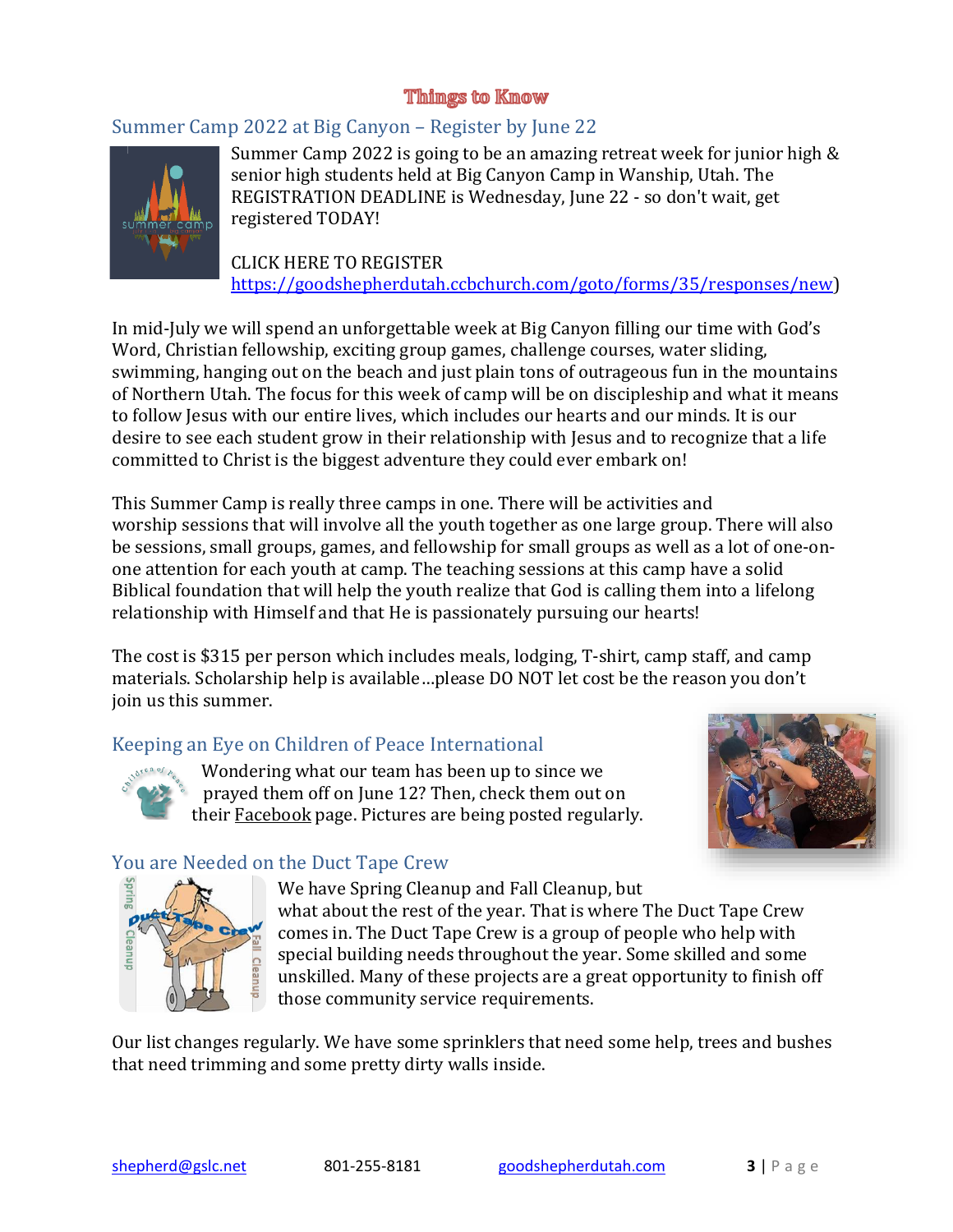### **Things to Know**

### <span id="page-2-1"></span><span id="page-2-0"></span>Summer Camp 2022 at Big Canyon – Register by June 22



Summer Camp 2022 is going to be an amazing retreat week for junior high & senior high students held at Big Canyon Camp in Wanship, Utah. The REGISTRATION DEADLINE is Wednesday, June 22 - so don't wait, get registered TODAY!

CLICK HERE TO REGISTER [https://goodshepherdutah.ccbchurch.com/goto/forms/35/responses/new\)](https://goodshepherdutah.ccbchurch.com/goto/forms/35/responses/new)

In mid-July we will spend an unforgettable week at Big Canyon filling our time with God's Word, Christian fellowship, exciting group games, challenge courses, water sliding, swimming, hanging out on the beach and just plain tons of outrageous fun in the mountains of Northern Utah. The focus for this week of camp will be on discipleship and what it means to follow Jesus with our entire lives, which includes our hearts and our minds. It is our desire to see each student grow in their relationship with Jesus and to recognize that a life committed to Christ is the biggest adventure they could ever embark on!

This Summer Camp is really three camps in one. There will be activities and worship sessions that will involve all the youth together as one large group. There will also be sessions, small groups, games, and fellowship for small groups as well as a lot of one-onone attention for each youth at camp. The teaching sessions at this camp have a solid Biblical foundation that will help the youth realize that God is calling them into a lifelong relationship with Himself and that He is passionately pursuing our hearts!

The cost is \$315 per person which includes meals, lodging, T-shirt, camp staff, and camp materials. Scholarship help is available…please DO NOT let cost be the reason you don't join us this summer.

### <span id="page-2-2"></span>Keeping an Eye on Children of Peace International



Wondering what our team has been up to since we prayed them off on June 12? Then, check them out on their [Facebook](https://www.facebook.com/ChildrenOfPeaceInternational) page. Pictures are being posted regularly.



### <span id="page-2-3"></span>You are Needed on the Duct Tape Crew



We have Spring Cleanup and Fall Cleanup, but what about the rest of the year. That is where The Duct Tape Crew comes in. The Duct Tape Crew is a group of people who help with special building needs throughout the year. Some skilled and some unskilled. Many of these projects are a great opportunity to finish off those community service requirements.

Our list changes regularly. We have some sprinklers that need some help, trees and bushes that need trimming and some pretty dirty walls inside.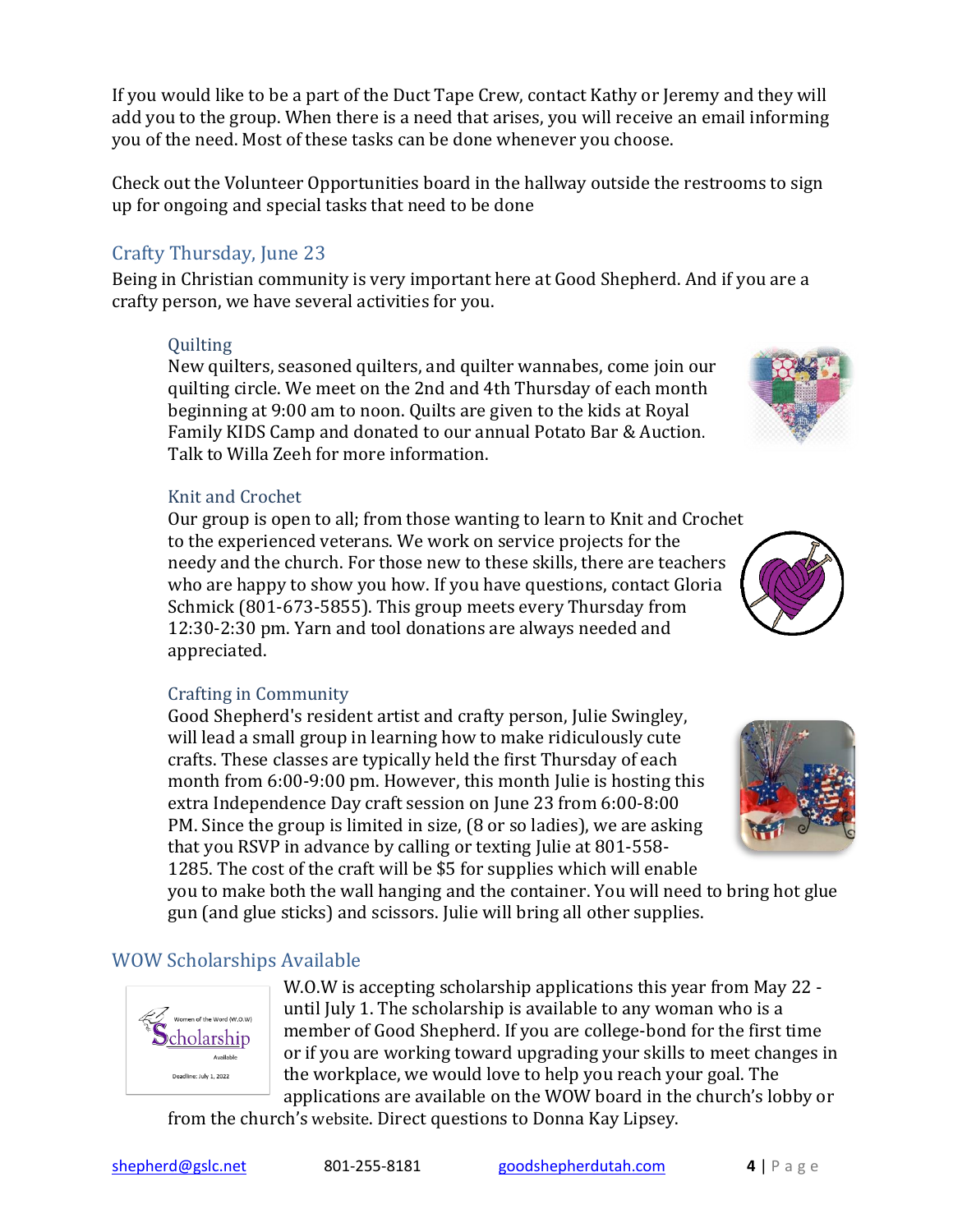If you would like to be a part of the Duct Tape Crew, contact Kathy or Jeremy and they will add you to the group. When there is a need that arises, you will receive an email informing you of the need. Most of these tasks can be done whenever you choose.

Check out the Volunteer Opportunities board in the hallway outside the restrooms to sign up for ongoing and special tasks that need to be done

# <span id="page-3-0"></span>Crafty Thursday, June 23

Being in Christian community is very important here at Good Shepherd. And if you are a crafty person, we have several activities for you.

# **Ouilting**

New quilters, seasoned quilters, and quilter wannabes, come join our quilting circle. We meet on the 2nd and 4th Thursday of each month beginning at 9:00 am to noon. Quilts are given to the kids at Royal Family KIDS Camp and donated to our annual Potato Bar & Auction. Talk to Willa Zeeh for more information.

# Knit and Crochet

Our group is open to all; from those wanting to learn to Knit and Crochet to the experienced veterans. We work on service projects for the needy and the church. For those new to these skills, there are teachers who are happy to show you how. If you have questions, contact Gloria Schmick (801-673-5855). This group meets every Thursday from 12:30-2:30 pm. Yarn and tool donations are always needed and appreciated.

# Crafting in Community

Good Shepherd's resident artist and crafty person, Julie Swingley, will lead a small group in learning how to make ridiculously cute crafts. These classes are typically held the first Thursday of each month from 6:00-9:00 pm. However, this month Julie is hosting this extra Independence Day craft session on June 23 from 6:00-8:00 PM. Since the group is limited in size, (8 or so ladies), we are asking that you RSVP in advance by calling or texting Julie at 801-558- 1285. The cost of the craft will be \$5 for supplies which will enable

you to make both the wall hanging and the container. You will need to bring hot glue gun (and glue sticks) and scissors. Julie will bring all other supplies.

# <span id="page-3-1"></span>WOW Scholarships Available

en of the Word (W.O.W) cholarship

Deadline: July 1, 2022

W.O.W is accepting scholarship applications this year from May 22 until July 1. The scholarship is available to any woman who is a member of Good Shepherd. If you are college-bond for the first time or if you are working toward upgrading your skills to meet changes in the workplace, we would love to help you reach your goal. The applications are available on the WOW board in the church's lobby or

from the church's [website](http://goodshepherdutah.com/). Direct questions to Donna Kay Lipsey.





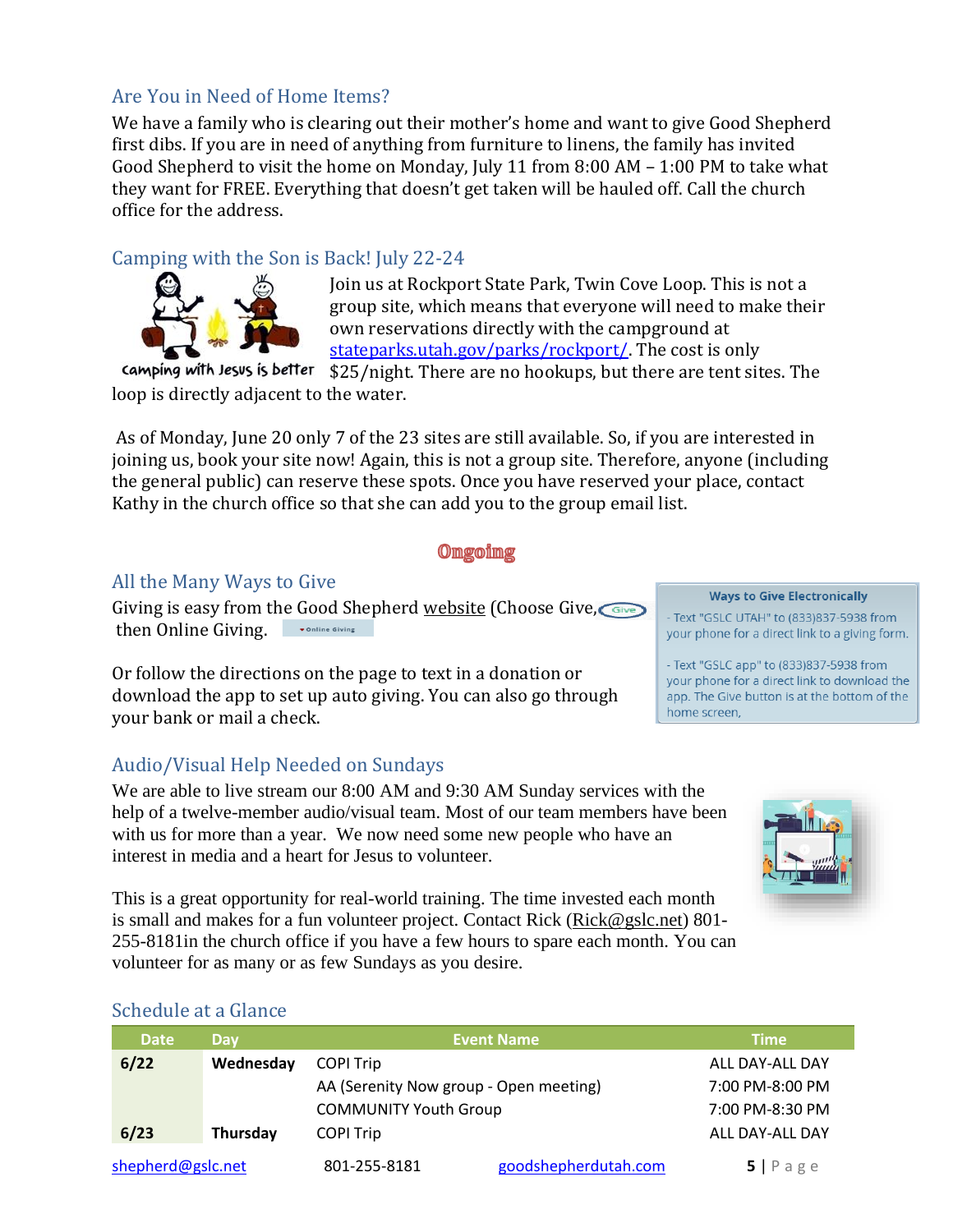# <span id="page-4-0"></span>Are You in Need of Home Items?

We have a family who is clearing out their mother's home and want to give Good Shepherd first dibs. If you are in need of anything from furniture to linens, the family has invited Good Shepherd to visit the home on Monday, July 11 from 8:00 AM  $-$  1:00 PM to take what they want for FREE. Everything that doesn't get taken will be hauled off. Call the church office for the address.

# <span id="page-4-1"></span>Camping with the Son is Back! July 22-24



Join us at Rockport State Park, Twin Cove Loop. This is not a group site, which means that everyone will need to make their own reservations directly with the campground at [stateparks.utah.gov/parks/rockport/.](https://stateparks.utah.gov/parks/rockport/) The cost is only

camping with Jesus is better \$25/night. There are no hookups, but there are tent sites. The loop is directly adjacent to the water.

As of Monday, June 20 only 7 of the 23 sites are still available. So, if you are interested in joining us, book your site now! Again, this is not a group site. Therefore, anyone (including the general public) can reserve these spots. Once you have reserved your place, contact Kathy in the church office so that she can add you to the group email list.

#### **Ongoing**

### <span id="page-4-3"></span><span id="page-4-2"></span>All the Many Ways to Give

Giving is easy from the Good Shepherd [website](https://www.goodshepherdutah.com/) (Choose Give, Give then Online Giving. Online Giving

Or follow the directions on the page to text in a donation or download the app to set up auto giving. You can also go through your bank or mail a check.

# <span id="page-4-4"></span>Audio/Visual Help Needed on Sundays

We are able to live stream our 8:00 AM and 9:30 AM Sunday services with the help of a twelve-member audio/visual team. Most of our team members have been with us for more than a year. We now need some new people who have an interest in media and a heart for Jesus to volunteer.

This is a great opportunity for real-world training. The time invested each month is small and makes for a fun volunteer project. Contact Rick [\(Rick@gslc.net\)](mailto:Rick@gslc.net) 801- 255-8181in the church office if you have a few hours to spare each month. You can volunteer for as many or as few Sundays as you desire.



### <span id="page-4-5"></span>Schedule at a Glance

| <b>Date</b>       | <b>Day</b> |                                        | <b>Event Name</b>    | <b>Time</b>     |
|-------------------|------------|----------------------------------------|----------------------|-----------------|
| 6/22              | Wednesday  | <b>COPI Trip</b>                       |                      | ALL DAY-ALL DAY |
|                   |            | AA (Serenity Now group - Open meeting) |                      | 7:00 PM-8:00 PM |
|                   |            | <b>COMMUNITY Youth Group</b>           |                      | 7:00 PM-8:30 PM |
| 6/23              | Thursday   | <b>COPI Trip</b>                       |                      | ALL DAY-ALL DAY |
| shepherd@gslc.net |            | 801-255-8181                           | goodshepherdutah.com | 5 Page          |

#### **Ways to Give Electronically**

- Text "GSLC UTAH" to (833)837-5938 from your phone for a direct link to a giving form.

- Text "GSLC app" to (833)837-5938 from your phone for a direct link to download the app. The Give button is at the bottom of the home screen,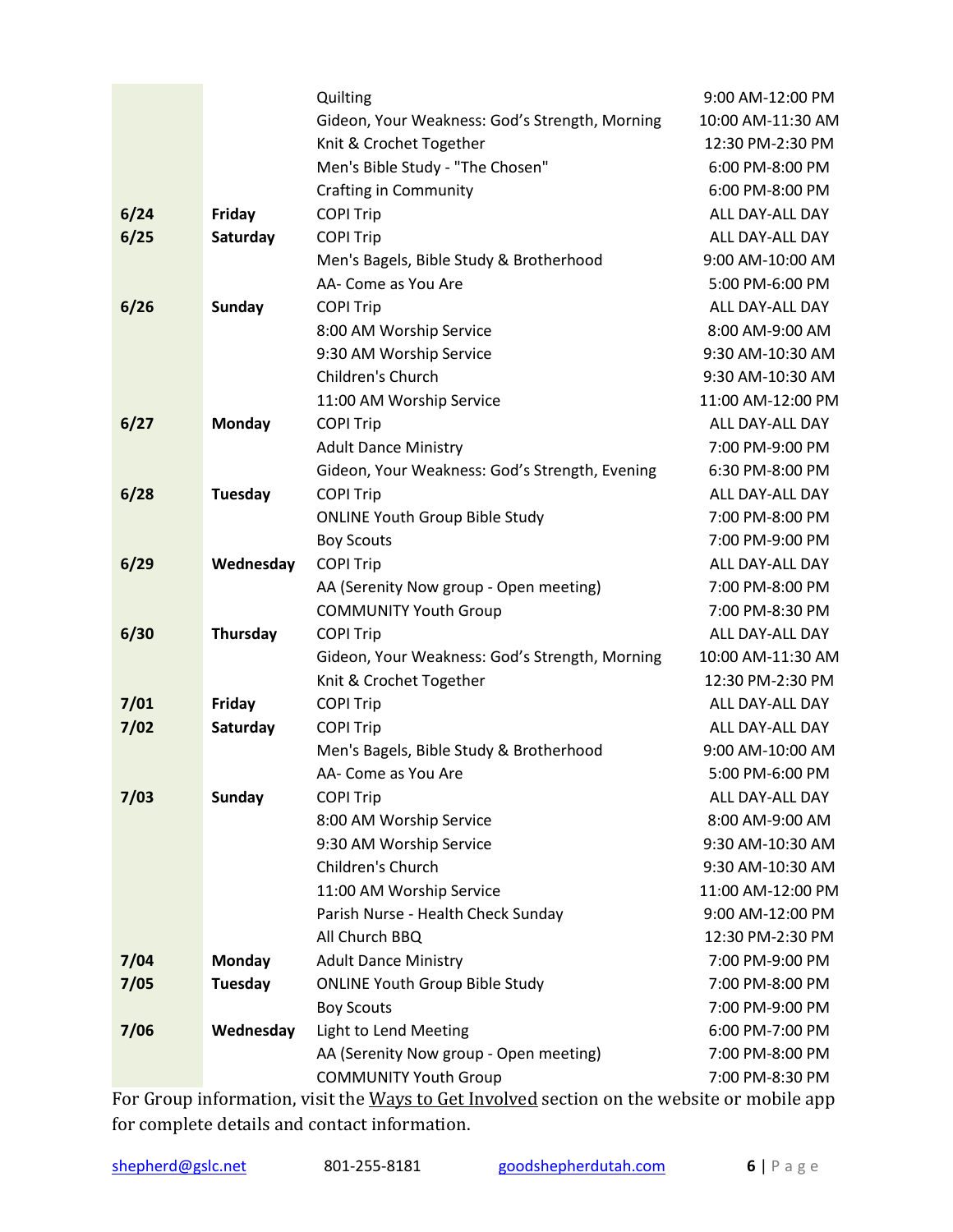|      |               | Quilting                                       | 9:00 AM-12:00 PM  |
|------|---------------|------------------------------------------------|-------------------|
|      |               | Gideon, Your Weakness: God's Strength, Morning | 10:00 AM-11:30 AM |
|      |               | Knit & Crochet Together                        | 12:30 PM-2:30 PM  |
|      |               | Men's Bible Study - "The Chosen"               | 6:00 PM-8:00 PM   |
|      |               | <b>Crafting in Community</b>                   | 6:00 PM-8:00 PM   |
| 6/24 | Friday        | <b>COPI Trip</b>                               | ALL DAY-ALL DAY   |
| 6/25 | Saturday      | <b>COPI Trip</b>                               | ALL DAY-ALL DAY   |
|      |               | Men's Bagels, Bible Study & Brotherhood        | 9:00 AM-10:00 AM  |
|      |               | AA- Come as You Are                            | 5:00 PM-6:00 PM   |
| 6/26 | <b>Sunday</b> | <b>COPI Trip</b>                               | ALL DAY-ALL DAY   |
|      |               | 8:00 AM Worship Service                        | 8:00 AM-9:00 AM   |
|      |               | 9:30 AM Worship Service                        | 9:30 AM-10:30 AM  |
|      |               | Children's Church                              | 9:30 AM-10:30 AM  |
|      |               | 11:00 AM Worship Service                       | 11:00 AM-12:00 PM |
| 6/27 | Monday        | <b>COPI Trip</b>                               | ALL DAY-ALL DAY   |
|      |               | <b>Adult Dance Ministry</b>                    | 7:00 PM-9:00 PM   |
|      |               | Gideon, Your Weakness: God's Strength, Evening | 6:30 PM-8:00 PM   |
| 6/28 | Tuesday       | <b>COPI Trip</b>                               | ALL DAY-ALL DAY   |
|      |               | <b>ONLINE Youth Group Bible Study</b>          | 7:00 PM-8:00 PM   |
|      |               | <b>Boy Scouts</b>                              | 7:00 PM-9:00 PM   |
| 6/29 | Wednesday     | <b>COPI Trip</b>                               | ALL DAY-ALL DAY   |
|      |               | AA (Serenity Now group - Open meeting)         | 7:00 PM-8:00 PM   |
|      |               | <b>COMMUNITY Youth Group</b>                   | 7:00 PM-8:30 PM   |
| 6/30 | Thursday      | <b>COPI Trip</b>                               | ALL DAY-ALL DAY   |
|      |               | Gideon, Your Weakness: God's Strength, Morning | 10:00 AM-11:30 AM |
|      |               | Knit & Crochet Together                        | 12:30 PM-2:30 PM  |
| 7/01 | Friday        | <b>COPI Trip</b>                               | ALL DAY-ALL DAY   |
| 7/02 | Saturday      | <b>COPI Trip</b>                               | ALL DAY-ALL DAY   |
|      |               | Men's Bagels, Bible Study & Brotherhood        | 9:00 AM-10:00 AM  |
|      |               | AA- Come as You Are                            | 5:00 PM-6:00 PM   |
| 7/03 | <b>Sunday</b> | <b>COPI Trip</b>                               | ALL DAY-ALL DAY   |
|      |               | 8:00 AM Worship Service                        | 8:00 AM-9:00 AM   |
|      |               | 9:30 AM Worship Service                        | 9:30 AM-10:30 AM  |
|      |               | Children's Church                              | 9:30 AM-10:30 AM  |
|      |               | 11:00 AM Worship Service                       | 11:00 AM-12:00 PM |
|      |               | Parish Nurse - Health Check Sunday             | 9:00 AM-12:00 PM  |
|      |               | All Church BBQ                                 | 12:30 PM-2:30 PM  |
| 7/04 | <b>Monday</b> | <b>Adult Dance Ministry</b>                    | 7:00 PM-9:00 PM   |
| 7/05 | Tuesday       | <b>ONLINE Youth Group Bible Study</b>          | 7:00 PM-8:00 PM   |
|      |               | <b>Boy Scouts</b>                              | 7:00 PM-9:00 PM   |
| 7/06 | Wednesday     | Light to Lend Meeting                          | 6:00 PM-7:00 PM   |
|      |               | AA (Serenity Now group - Open meeting)         | 7:00 PM-8:00 PM   |
|      |               | <b>COMMUNITY Youth Group</b>                   | 7:00 PM-8:30 PM   |

For Group information, visit the [Ways to Get Involved](#page-4-5) section on the website or mobile app for complete details and contact information.